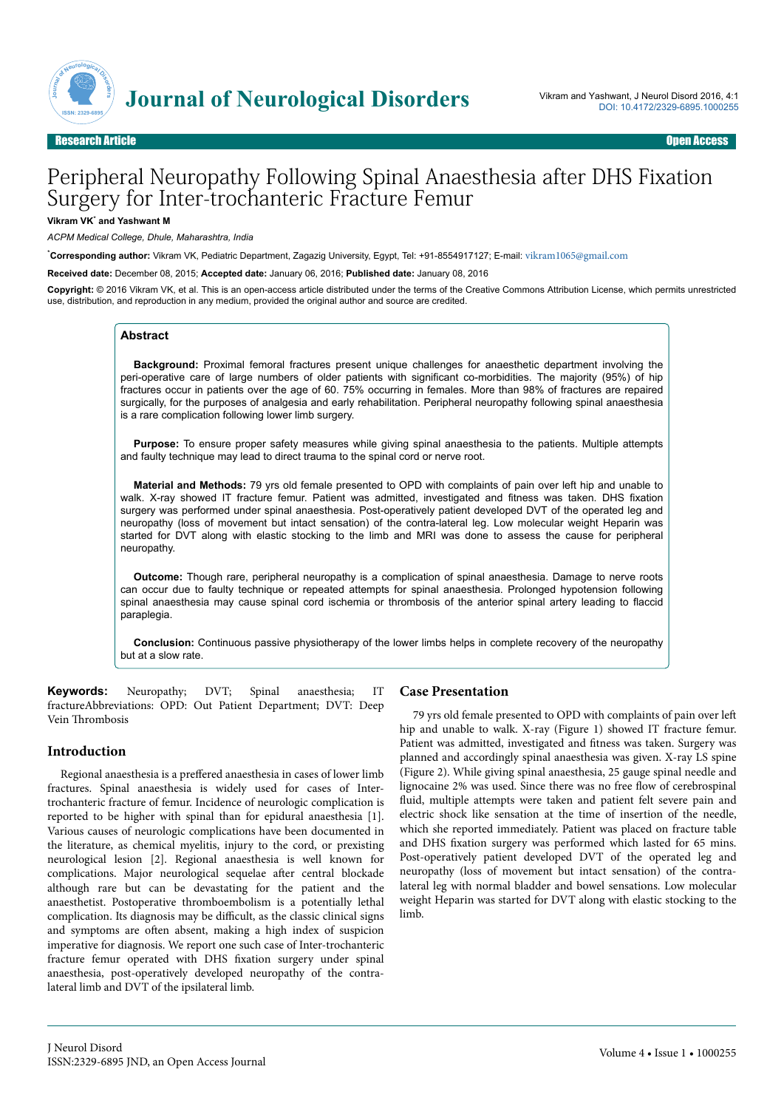

# Peripheral Neuropathy Following Spinal Anaesthesia after DHS Fixation Surgery for Inter-trochanteric Fracture Femur

#### **Vikram VK**\*  **and Yashwant M**

*ACPM Medical College, Dhule, Maharashtra, India*

\***Corresponding author:** Vikram VK, Pediatric Department, Zagazig University, Egypt, Tel: +91-8554917127; E-mail: [vikram1065@gmail.com](mailto:vikram1065@gmail.com)

**Received date:** December 08, 2015; **Accepted date:** January 06, 2016; **Published date:** January 08, 2016

**Copyright:** © 2016 Vikram VK, et al. This is an open-access article distributed under the terms of the Creative Commons Attribution License, which permits unrestricted use, distribution, and reproduction in any medium, provided the original author and source are credited.

#### **Abstract**

**Background:** Proximal femoral fractures present unique challenges for anaesthetic department involving the peri-operative care of large numbers of older patients with significant co-morbidities. The majority (95%) of hip fractures occur in patients over the age of 60. 75% occurring in females. More than 98% of fractures are repaired surgically, for the purposes of analgesia and early rehabilitation. Peripheral neuropathy following spinal anaesthesia is a rare complication following lower limb surgery.

**Purpose:** To ensure proper safety measures while giving spinal anaesthesia to the patients. Multiple attempts and faulty technique may lead to direct trauma to the spinal cord or nerve root.

**Material and Methods:** 79 yrs old female presented to OPD with complaints of pain over left hip and unable to walk. X-ray showed IT fracture femur. Patient was admitted, investigated and fitness was taken. DHS fixation surgery was performed under spinal anaesthesia. Post-operatively patient developed DVT of the operated leg and neuropathy (loss of movement but intact sensation) of the contra-lateral leg. Low molecular weight Heparin was started for DVT along with elastic stocking to the limb and MRI was done to assess the cause for peripheral neuropathy.

**Outcome:** Though rare, peripheral neuropathy is a complication of spinal anaesthesia. Damage to nerve roots can occur due to faulty technique or repeated attempts for spinal anaesthesia. Prolonged hypotension following spinal anaesthesia may cause spinal cord ischemia or thrombosis of the anterior spinal artery leading to flaccid paraplegia.

**Conclusion:** Continuous passive physiotherapy of the lower limbs helps in complete recovery of the neuropathy but at a slow rate.

**Keywords:** Neuropathy; DVT; Spinal anaesthesia; IT fractureAbbreviations: OPD: Out Patient Department; DVT: Deep Vein Нrombosis

#### **Introduction**

Regional anaesthesia is a preffered anaesthesia in cases of lower limb fractures. Spinal anaesthesia is widely used for cases of Intertrochanteric fracture of femur. Incidence of neurologic complication is reported to be higher with spinal than for epidural anaesthesia [1]. Various causes of neurologic complications have been documented in the literature, as chemical myelitis, injury to the cord, or prexisting neurological lesion [2]. Regional anaesthesia is well known for complications. Major neurological sequelae after central blockade although rare but can be devastating for the patient and the anaesthetist. Postoperative thromboembolism is a potentially lethal complication. Its diagnosis may be difficult, as the classic clinical signs and symptoms are often absent, making a high index of suspicion imperative for diagnosis. We report one such case of Inter-trochanteric fracture femur operated with DHS fixation surgery under spinal anaesthesia, post-operatively developed neuropathy of the contralateral limb and DVT of the ipsilateral limb.

#### **Case Presentation**

79 yrs old female presented to OPD with complaints of pain over left hip and unable to walk. X-ray (Figure 1) showed IT fracture femur. Patient was admitted, investigated and fitness was taken. Surgery was planned and accordingly spinal anaesthesia was given. X-ray LS spine (Figure 2). While giving spinal anaesthesia, 25 gauge spinal needle and lignocaine 2% was used. Since there was no free flow of cerebrospinal fluid, multiple attempts were taken and patient felt severe pain and electric shock like sensation at the time of insertion of the needle, which she reported immediately. Patient was placed on fracture table and DHS fixation surgery was performed which lasted for 65 mins. Post-operatively patient developed DVT of the operated leg and neuropathy (loss of movement but intact sensation) of the contralateral leg with normal bladder and bowel sensations. Low molecular weight Heparin was started for DVT along with elastic stocking to the limb.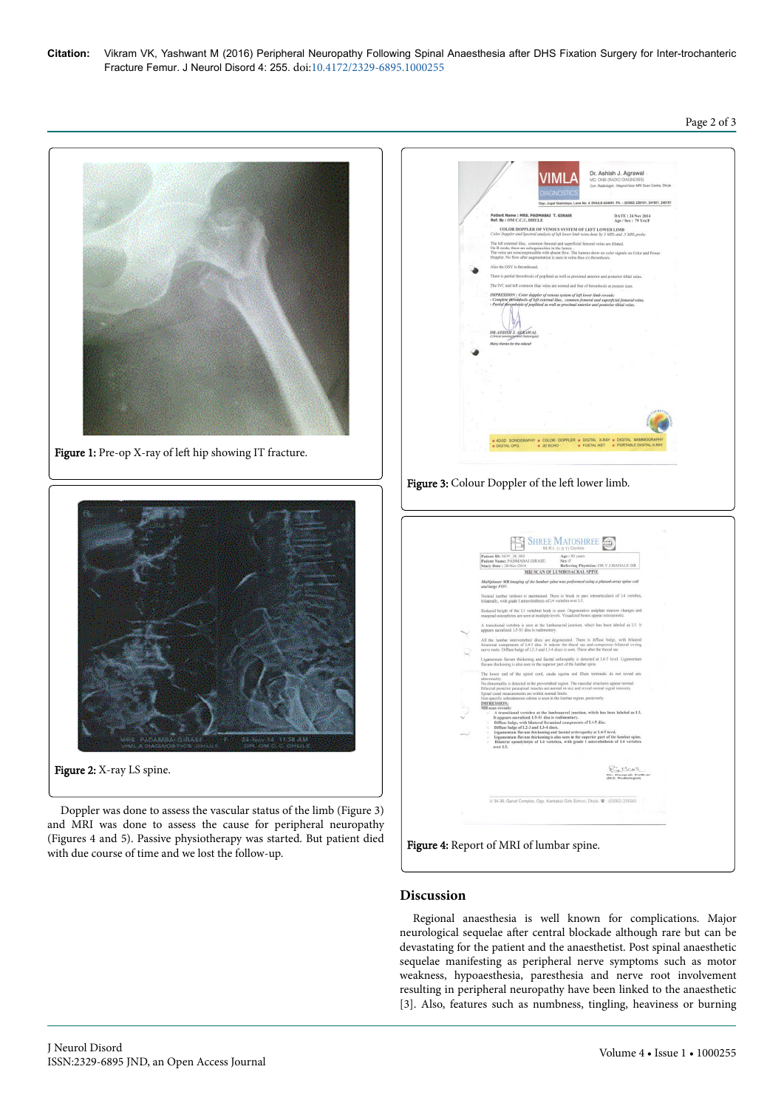Page 2 of 3





Doppler was done to assess the vascular status of the limb (Figure 3) and MRI was done to assess the cause for peripheral neuropathy (Figures 4 and 5). Passive physiotherapy was started. But patient died with due course of time and we lost the follow-up.







## **Discussion**

Regional anaesthesia is well known for complications. Major neurological sequelae after central blockade although rare but can be devastating for the patient and the anaesthetist. Post spinal anaesthetic sequelae manifesting as peripheral nerve symptoms such as motor weakness, hypoaesthesia, paresthesia and nerve root involvement resulting in peripheral neuropathy have been linked to the anaesthetic [3]. Also, features such as numbness, tingling, heaviness or burning